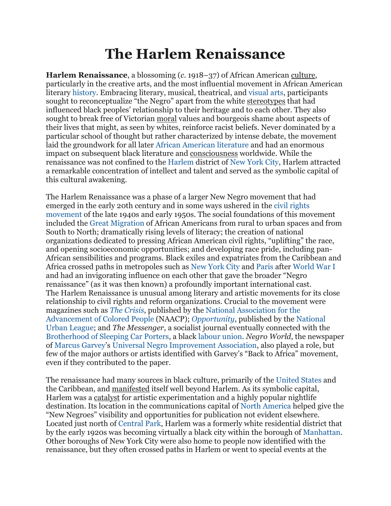## **The Harlem Renaissance**

**Harlem Renaissance**, a blossoming (*c.* 1918–37) of African American [culture,](https://www.merriam-webster.com/dictionary/culture) particularly in the creative arts, and the most influential movement in African American literary [history.](https://www.britannica.com/topic/history) Embracing literary, musical, theatrical, and [visual](https://www.britannica.com/art/visual-arts) arts, participants sought to reconceptualize "the Negro" apart from the white [stereotypes](https://www.merriam-webster.com/dictionary/stereotypes) that had influenced black peoples' relationship to their heritage and to each other. They also sought to break free of Victorian [moral](https://www.merriam-webster.com/dictionary/moral) values and bourgeois shame about aspects of their lives that might, as seen by whites, reinforce racist beliefs. Never dominated by a particular school of thought but rather characterized by intense debate, the movement laid the groundwork for all later African [American](https://www.britannica.com/art/African-American-literature) literature and had an enormous impact on subsequent black literature and [consciousness](https://www.merriam-webster.com/dictionary/consciousness) worldwide. While the renaissance was not confined to the [Harlem](https://www.britannica.com/place/Harlem-New-York) district of New [York](https://www.britannica.com/place/New-York-City) City, Harlem attracted a remarkable concentration of intellect and talent and served as the symbolic capital of this cultural awakening.

The Harlem Renaissance was a phase of a larger New Negro movement that had emerged in the early 20th century and in some ways ushered in the civil [rights](https://www.britannica.com/event/American-civil-rights-movement) [movement](https://www.britannica.com/event/American-civil-rights-movement) of the late 1940s and early 1950s. The social foundations of this movement included the Great [Migration](https://www.britannica.com/event/Great-Migration) of African Americans from rural to urban spaces and from South to North; dramatically rising levels of literacy; the creation of national organizations dedicated to pressing African American civil rights, "uplifting" the race, and opening socioeconomic opportunities; and developing race pride, including pan-African sensibilities and programs. Black exiles and expatriates from the Caribbean and Africa crossed paths in metropoles such as New [York](https://www.britannica.com/place/New-York-City) City and [Paris](https://www.britannica.com/place/Paris) after [World](https://www.britannica.com/event/World-War-I) War I and had an invigorating influence on each other that gave the broader "Negro renaissance" (as it was then known) a profoundly important international cast. The Harlem Renaissance is unusual among literary and artistic movements for its close relationship to civil rights and reform organizations. Crucial to the movement were magazines such as *The [Crisis](https://www.britannica.com/topic/The-Crisis-American-magazine)*, published by the National [Association](https://www.britannica.com/topic/National-Association-for-the-Advancement-of-Colored-People) for the [Advancement](https://www.britannica.com/topic/National-Association-for-the-Advancement-of-Colored-People) of Colored People (NAACP); *[Opportunity](https://www.britannica.com/topic/Opportunity-American-magazine)*, published by the [National](https://www.britannica.com/topic/National-Urban-League) Urban [League;](https://www.britannica.com/topic/National-Urban-League) and *The Messenger*, a socialist journal eventually connected with the [Brotherhood](https://www.britannica.com/topic/Brotherhood-of-Sleeping-Car-Porters) of Sleeping Car Porters, a black [labour](https://www.britannica.com/topic/organized-labor) union. *Negro World*, the newspaper of [Marcus](https://www.britannica.com/biography/Marcus-Garvey) Garvey's Universal Negro [Improvement](https://www.britannica.com/topic/Universal-Negro-Improvement-Association) Association, also played a role, but few of the major authors or artists identified with Garvey's "Back to Africa" movement, even if they contributed to the paper.

The renaissance had many sources in black culture, primarily of the [United](https://www.britannica.com/place/United-States) States and the Caribbean, and [manifested](https://www.merriam-webster.com/dictionary/manifested) itself well beyond Harlem. As its symbolic capital, Harlem was a [catalyst](https://www.merriam-webster.com/dictionary/catalyst) for artistic experimentation and a highly popular nightlife destination. Its location in the communications capital of North [America](https://www.britannica.com/place/North-America) helped give the "New Negroes" visibility and opportunities for publication not evident elsewhere. Located just north of [Central](https://www.britannica.com/place/Central-Park-New-York-City) Park, Harlem was a formerly white residential district that by the early 1920s was becoming virtually a black city within the borough of [Manhattan.](https://www.britannica.com/place/Manhattan-New-York-City) Other boroughs of New York City were also home to people now identified with the renaissance, but they often crossed paths in Harlem or went to special events at the